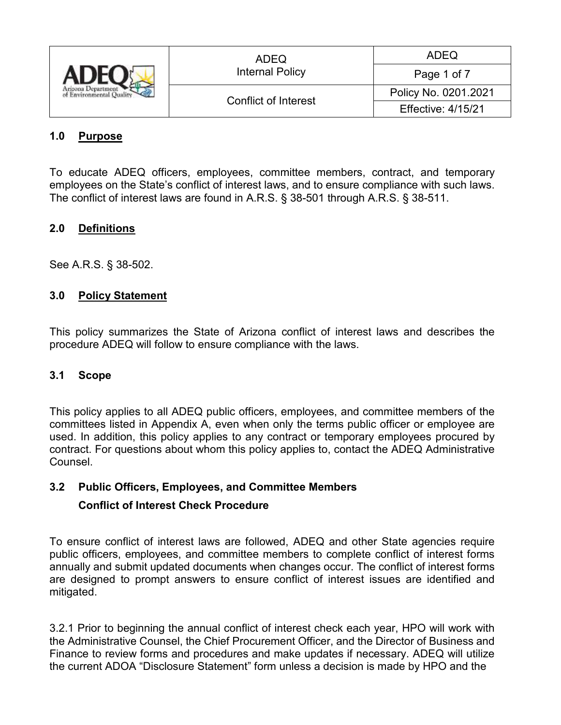| of Environmental Quali- | <b>ADEQ</b><br><b>Internal Policy</b> | <b>ADEQ</b>               |
|-------------------------|---------------------------------------|---------------------------|
|                         |                                       | Page 1 of 7               |
|                         | <b>Conflict of Interest</b>           | Policy No. 0201.2021      |
|                         |                                       | <b>Effective: 4/15/21</b> |

# **1.0 Purpose**

To educate ADEQ officers, employees, committee members, contract, and temporary employees on the State's conflict of interest laws, and to ensure compliance with such laws. The conflict of interest laws are found in A.R.S. § 38-501 through A.R.S. § 38-511.

# **2.0 Definitions**

See A.R.S. § 38-502.

# **3.0 Policy Statement**

This policy summarizes the State of Arizona conflict of interest laws and describes the procedure ADEQ will follow to ensure compliance with the laws.

### **3.1 Scope**

This policy applies to all ADEQ public officers, employees, and committee members of the committees listed in Appendix A, even when only the terms public officer or employee are used. In addition, this policy applies to any contract or temporary employees procured by contract. For questions about whom this policy applies to, contact the ADEQ Administrative **Counsel** 

# **3.2 Public Officers, Employees, and Committee Members**

### **Conflict of Interest Check Procedure**

To ensure conflict of interest laws are followed, ADEQ and other State agencies require public officers, employees, and committee members to complete conflict of interest forms annually and submit updated documents when changes occur. The conflict of interest forms are designed to prompt answers to ensure conflict of interest issues are identified and mitigated.

3.2.1 Prior to beginning the annual conflict of interest check each year, HPO will work with the Administrative Counsel, the Chief Procurement Officer, and the Director of Business and Finance to review forms and procedures and make updates if necessary. ADEQ will utilize the current ADOA "Disclosure Statement" form unless a decision is made by HPO and the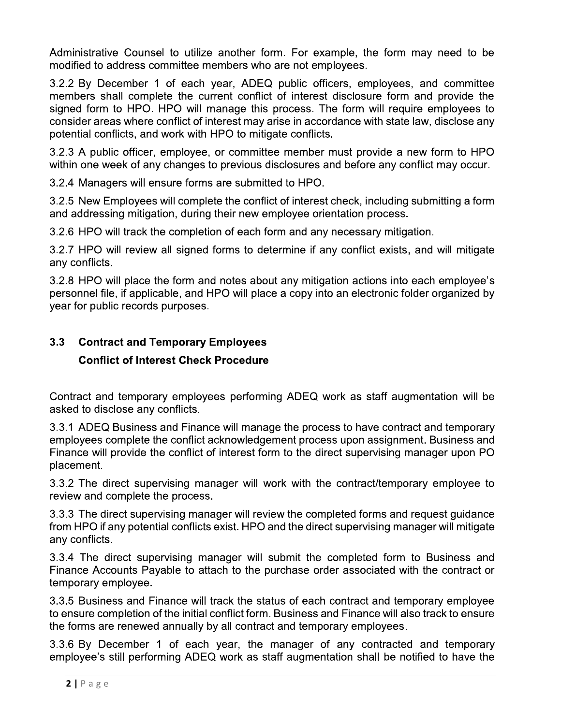Administrative Counsel to utilize another form. For example, the form may need to be modified to address committee members who are not employees.

3.2.2 By December 1 of each year, ADEQ public officers, employees, and committee members shall complete the current conflict of interest disclosure form and provide the signed form to HPO. HPO will manage this process. The form will require employees to consider areas where conflict of interest may arise in accordance with state law, disclose any potential conflicts, and work with HPO to mitigate conflicts.

3.2.3 A public officer, employee, or committee member must provide a new form to HPO within one week of any changes to previous disclosures and before any conflict may occur.

3.2.4 Managers will ensure forms are submitted to HPO.

3.2.5 New Employees will complete the conflict of interest check, including submitting a form and addressing mitigation, during their new employee orientation process.

3.2.6 HPO will track the completion of each form and any necessary mitigation.

3.2.7 HPO will review all signed forms to determine if any conflict exists, and will mitigate any conflicts.

3.2.8 HPO will place the form and notes about any mitigation actions into each employee's personnel file, if applicable, and HPO will place a copy into an electronic folder organized by year for public records purposes.

### $3.3$ **Contract and Temporary Employees**

### **Conflict of Interest Check Procedure**

Contract and temporary employees performing ADEQ work as staff augmentation will be asked to disclose any conflicts.

3.3.1 ADEQ Business and Finance will manage the process to have contract and temporary employees complete the conflict acknowledgement process upon assignment. Business and Finance will provide the conflict of interest form to the direct supervising manager upon PO placement.

3.3.2 The direct supervising manager will work with the contract/temporary employee to review and complete the process.

3.3.3 The direct supervising manager will review the completed forms and request guidance from HPO if any potential conflicts exist. HPO and the direct supervising manager will mitigate any conflicts.

3.3.4 The direct supervising manager will submit the completed form to Business and Finance Accounts Payable to attach to the purchase order associated with the contract or temporary employee.

3.3.5 Business and Finance will track the status of each contract and temporary employee to ensure completion of the initial conflict form. Business and Finance will also track to ensure the forms are renewed annually by all contract and temporary employees.

3.3.6 By December 1 of each year, the manager of any contracted and temporary employee's still performing ADEQ work as staff augmentation shall be notified to have the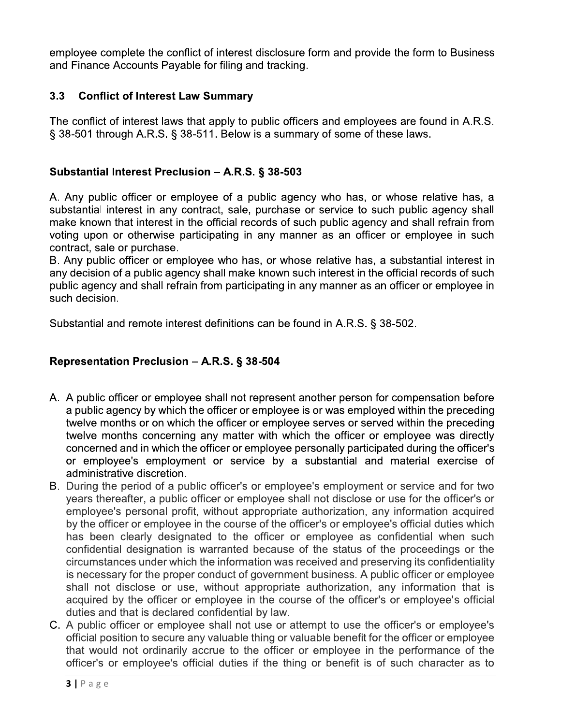employee complete the conflict of interest disclosure form and provide the form to Business and Finance Accounts Payable for filing and tracking.

#### $3.3$ **Conflict of Interest Law Summary**

The conflict of interest laws that apply to public officers and employees are found in A.R.S. § 38-501 through A.R.S. § 38-511. Below is a summary of some of these laws.

# Substantial Interest Preclusion - A.R.S. § 38-503

A. Any public officer or employee of a public agency who has, or whose relative has, a substantial interest in any contract, sale, purchase or service to such public agency shall make known that interest in the official records of such public agency and shall refrain from voting upon or otherwise participating in any manner as an officer or employee in such contract, sale or purchase.

B. Any public officer or employee who has, or whose relative has, a substantial interest in any decision of a public agency shall make known such interest in the official records of such public agency and shall refrain from participating in any manner as an officer or employee in such decision.

Substantial and remote interest definitions can be found in A.R.S. § 38-502.

# Representation Preclusion - A.R.S. § 38-504

- A. A public officer or employee shall not represent another person for compensation before a public agency by which the officer or employee is or was employed within the preceding twelve months or on which the officer or employee serves or served within the preceding twelve months concerning any matter with which the officer or employee was directly concerned and in which the officer or employee personally participated during the officer's or employee's employment or service by a substantial and material exercise of administrative discretion.
- B. During the period of a public officer's or employee's employment or service and for two years thereafter, a public officer or employee shall not disclose or use for the officer's or employee's personal profit, without appropriate authorization, any information acquired by the officer or employee in the course of the officer's or employee's official duties which has been clearly designated to the officer or employee as confidential when such confidential designation is warranted because of the status of the proceedings or the circumstances under which the information was received and preserving its confidentiality is necessary for the proper conduct of government business. A public officer or employee shall not disclose or use, without appropriate authorization, any information that is acquired by the officer or employee in the course of the officer's or employee's official duties and that is declared confidential by law.
- C. A public officer or employee shall not use or attempt to use the officer's or employee's official position to secure any valuable thing or valuable benefit for the officer or employee that would not ordinarily accrue to the officer or employee in the performance of the officer's or employee's official duties if the thing or benefit is of such character as to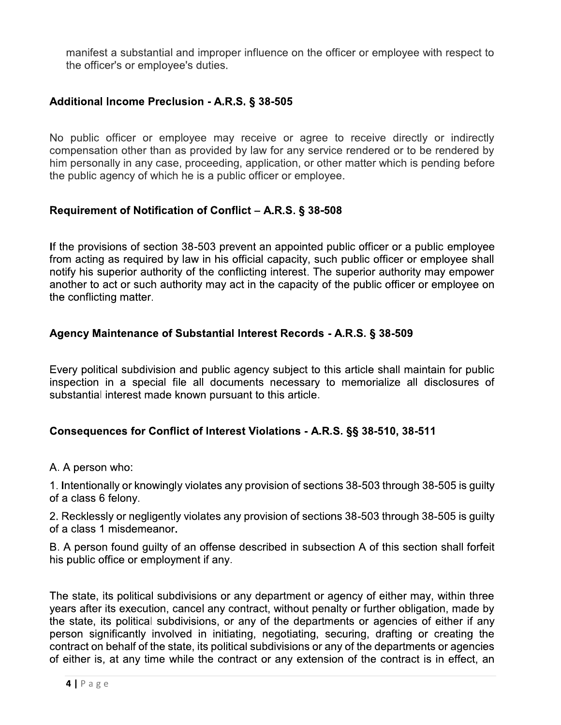manifest a substantial and improper influence on the officer or employee with respect to the officer's or employee's duties.

### Additional Income Preclusion - A.R.S. § 38-505

No public officer or employee may receive or agree to receive directly or indirectly compensation other than as provided by law for any service rendered or to be rendered by him personally in any case, proceeding, application, or other matter which is pending before the public agency of which he is a public officer or employee.

### Requirement of Notification of Conflict – A.R.S. § 38-508

If the provisions of section 38-503 prevent an appointed public officer or a public employee from acting as required by law in his official capacity, such public officer or employee shall notify his superior authority of the conflicting interest. The superior authority may empower another to act or such authority may act in the capacity of the public officer or employee on the conflicting matter.

### Agency Maintenance of Substantial Interest Records - A.R.S. § 38-509

Every political subdivision and public agency subject to this article shall maintain for public inspection in a special file all documents necessary to memorialize all disclosures of substantial interest made known pursuant to this article.

### Consequences for Conflict of Interest Violations - A.R.S. §§ 38-510, 38-511

A. A person who:

1. Intentionally or knowingly violates any provision of sections 38-503 through 38-505 is guilty of a class 6 felony.

2. Recklessly or negligently violates any provision of sections 38-503 through 38-505 is guilty of a class 1 misdemeanor.

B. A person found guilty of an offense described in subsection A of this section shall forfeit his public office or employment if any.

The state, its political subdivisions or any department or agency of either may, within three years after its execution, cancel any contract, without penalty or further obligation, made by the state, its political subdivisions, or any of the departments or agencies of either if any person significantly involved in initiating, negotiating, securing, drafting or creating the contract on behalf of the state, its political subdivisions or any of the departments or agencies of either is, at any time while the contract or any extension of the contract is in effect, an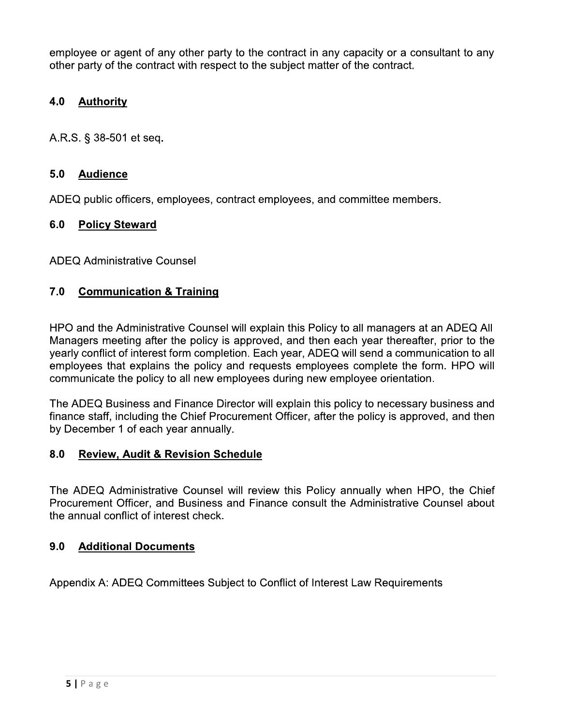employee or agent of any other party to the contract in any capacity or a consultant to any other party of the contract with respect to the subject matter of the contract.

#### $4.0$ **Authority**

A.R.S. § 38-501 et seq.

#### $5.0$ **Audience**

ADEQ public officers, employees, contract employees, and committee members.

#### $6.0$ **Policy Steward**

**ADEQ Administrative Counsel** 

#### $7.0$ **Communication & Training**

HPO and the Administrative Counsel will explain this Policy to all managers at an ADEQ All Managers meeting after the policy is approved, and then each year thereafter, prior to the yearly conflict of interest form completion. Each year, ADEQ will send a communication to all employees that explains the policy and requests employees complete the form. HPO will communicate the policy to all new employees during new employee orientation.

The ADEQ Business and Finance Director will explain this policy to necessary business and finance staff, including the Chief Procurement Officer, after the policy is approved, and then by December 1 of each year annually.

#### $8.0$ **Review, Audit & Revision Schedule**

The ADEQ Administrative Counsel will review this Policy annually when HPO, the Chief Procurement Officer, and Business and Finance consult the Administrative Counsel about the annual conflict of interest check.

#### $9.0$ **Additional Documents**

Appendix A: ADEQ Committees Subject to Conflict of Interest Law Requirements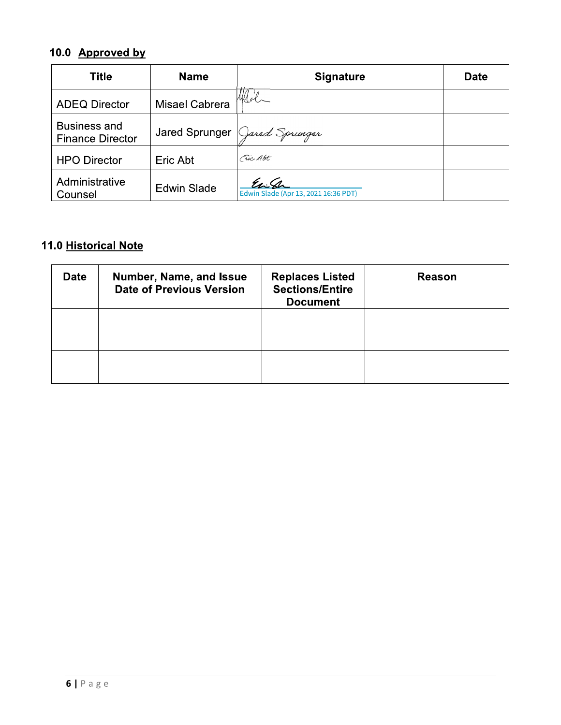# 10.0 Approved by

| <b>Title</b>                                   | <b>Name</b>        | <b>Signature</b>                               | <b>Date</b> |
|------------------------------------------------|--------------------|------------------------------------------------|-------------|
| <b>ADEQ Director</b>                           | Misael Cabrera     | Med                                            |             |
| <b>Business and</b><br><b>Finance Director</b> | Jared Sprunger     | Jared Sprunger                                 |             |
| <b>HPO Director</b>                            | Eric Abt           | Fic Abt                                        |             |
| Administrative<br>Counsel                      | <b>Edwin Slade</b> | Es: Sh<br>Edwin Slade (Apr 13, 2021 16:36 PDT) |             |

# 11.0 Historical Note

| <b>Date</b> | Number, Name, and Issue<br><b>Date of Previous Version</b> | <b>Replaces Listed</b><br><b>Sections/Entire</b><br><b>Document</b> | <b>Reason</b> |
|-------------|------------------------------------------------------------|---------------------------------------------------------------------|---------------|
|             |                                                            |                                                                     |               |
|             |                                                            |                                                                     |               |